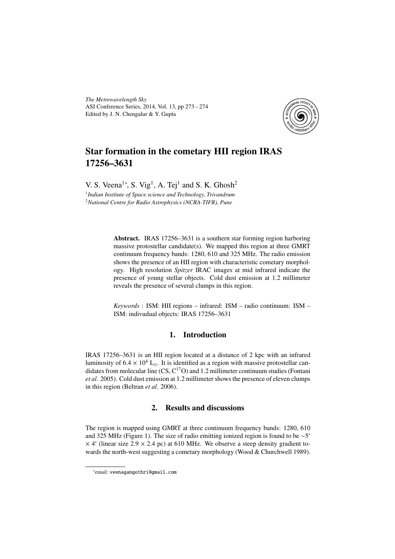*The Metrewavelength Sky* ASI Conference Series, 2014, Vol. 13, pp 273 – 274 Edited by J. N. Chengalur & Y. Gupta



## Star formation in the cometary HII region IRAS 17256–3631

V. S. Veena<sup>1\*</sup>, S. Vig<sup>1</sup>, A. Tej<sup>1</sup> and S. K. Ghosh<sup>2</sup>

1 *Indian Institute of Space science and Technology, Trivandrum* <sup>2</sup>*National Centre for Radio Astrophysics (NCRA-TIFR), Pune*

> Abstract. IRAS 17256–3631 is a southern star forming region harboring massive protostellar candidate(s). We mapped this region at three GMRT continuum frequency bands: 1280, 610 and 325 MHz. The radio emission shows the presence of an HII region with characteristic cometary morphology. High resolution *Spitzer* IRAC images at mid infrared indicate the presence of young stellar objects. Cold dust emission at 1.2 millimeter reveals the presence of several clumps in this region.

> *Keywords* : ISM: HII regions – infrared: ISM – radio continuum: ISM – ISM: indivudual objects: IRAS 17256–3631

## 1. Introduction

IRAS 17256–3631 is an HII region located at a distance of 2 kpc with an infrared luminosity of  $6.4 \times 10^4$  L<sub>o</sub>. It is identified as a region with massive protostellar candidates from molecular line  $(CS, C^{17}O)$  and 1.2 millimeter continuum studies (Fontani *et al*. 2005). Cold dust emission at 1.2 millimeter shows the presence of eleven clumps in this region (Beltran *et al*. 2006).

## 2. Results and discussions

The region is mapped using GMRT at three continuum frequency bands: 1280, 610 and 325 MHz (Figure 1). The size of radio emitting ionized region is found to be  $\sim$ 5'  $\times$  4' (linear size 2.9  $\times$  2.4 pc) at 610 MHz. We observe a steep density gradient towards the north-west suggesting a cometary morphology (Wood & Churchwell 1989).

<sup>∗</sup> email: veenagangothri@gmail.com